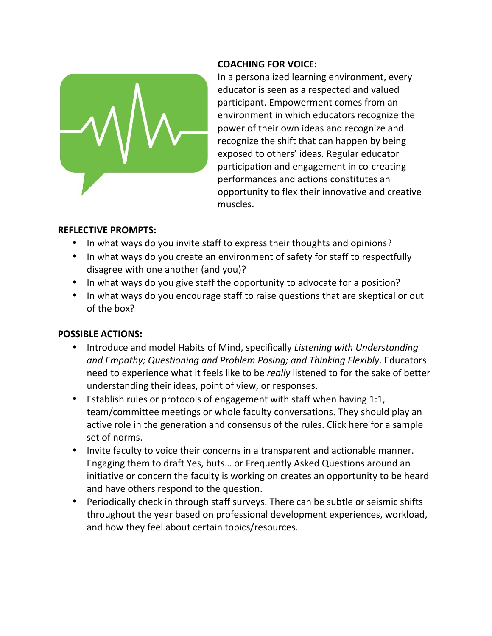

## **COACHING FOR VOICE:**

In a personalized learning environment, every educator is seen as a respected and valued participant. Empowerment comes from an environment in which educators recognize the power of their own ideas and recognize and recognize the shift that can happen by being exposed to others' ideas. Regular educator participation and engagement in co-creating performances and actions constitutes an opportunity to flex their innovative and creative muscles.

### **REFLECTIVE PROMPTS:**

- In what ways do you invite staff to express their thoughts and opinions?
- In what ways do you create an environment of safety for staff to respectfully disagree with one another (and you)?
- In what ways do you give staff the opportunity to advocate for a position?
- In what ways do you encourage staff to raise questions that are skeptical or out of the box?

- Introduce and model Habits of Mind, specifically *Listening with Understanding and Empathy; Questioning and Problem Posing; and Thinking Flexibly*. Educators need to experience what it feels like to be *really* listened to for the sake of better understanding their ideas, point of view, or responses.
- Establish rules or protocols of engagement with staff when having 1:1, team/committee meetings or whole faculty conversations. They should play an active role in the generation and consensus of the rules. Click here for a sample set of norms.
- Invite faculty to voice their concerns in a transparent and actionable manner. Engaging them to draft Yes, buts… or Frequently Asked Questions around an initiative or concern the faculty is working on creates an opportunity to be heard and have others respond to the question.
- Periodically check in through staff surveys. There can be subtle or seismic shifts throughout the year based on professional development experiences, workload, and how they feel about certain topics/resources.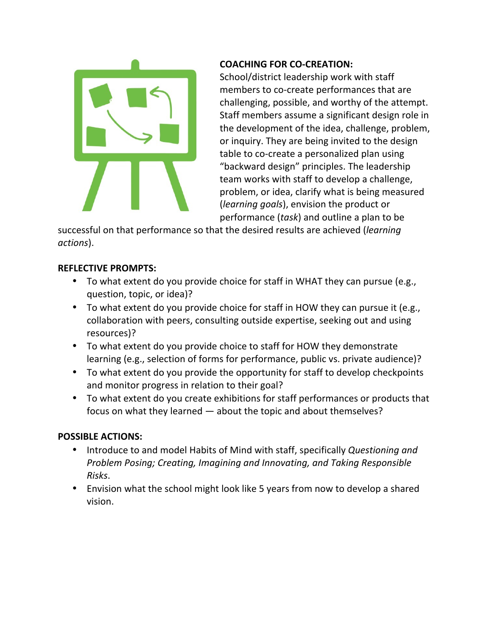

## **COACHING FOR CO-CREATION:**

School/district leadership work with staff members to co-create performances that are challenging, possible, and worthy of the attempt. Staff members assume a significant design role in the development of the idea, challenge, problem, or inquiry. They are being invited to the design table to co-create a personalized plan using "backward design" principles. The leadership team works with staff to develop a challenge, problem, or idea, clarify what is being measured (*learning goals*), envision the product or performance (*task*) and outline a plan to be

successful on that performance so that the desired results are achieved (*learning actions*).

# **REFLECTIVE PROMPTS:**

- To what extent do you provide choice for staff in WHAT they can pursue (e.g., question, topic, or idea)?
- To what extent do you provide choice for staff in HOW they can pursue it (e.g., collaboration with peers, consulting outside expertise, seeking out and using resources)?
- To what extent do you provide choice to staff for HOW they demonstrate learning (e.g., selection of forms for performance, public vs. private audience)?
- To what extent do you provide the opportunity for staff to develop checkpoints and monitor progress in relation to their goal?
- To what extent do you create exhibitions for staff performances or products that focus on what they learned — about the topic and about themselves?

- Introduce to and model Habits of Mind with staff, specifically *Questioning and Problem Posing; Creating, Imagining and Innovating, and Taking Responsible Risks*.
- Envision what the school might look like 5 years from now to develop a shared vision.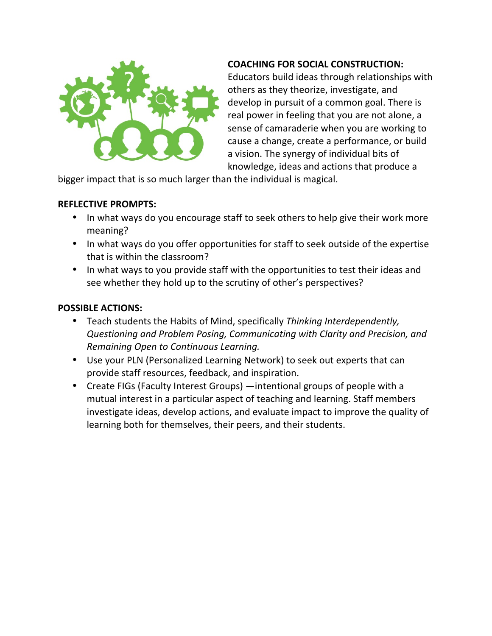

### **COACHING FOR SOCIAL CONSTRUCTION:**

Educators build ideas through relationships with others as they theorize, investigate, and develop in pursuit of a common goal. There is real power in feeling that you are not alone, a sense of camaraderie when you are working to cause a change, create a performance, or build a vision. The synergy of individual bits of knowledge, ideas and actions that produce a

bigger impact that is so much larger than the individual is magical.

### **REFLECTIVE PROMPTS:**

- In what ways do you encourage staff to seek others to help give their work more meaning?
- In what ways do you offer opportunities for staff to seek outside of the expertise that is within the classroom?
- In what ways to you provide staff with the opportunities to test their ideas and see whether they hold up to the scrutiny of other's perspectives?

- Teach students the Habits of Mind, specifically *Thinking Interdependently, Questioning and Problem Posing, Communicating with Clarity and Precision, and Remaining Open to Continuous Learning.*
- Use your PLN (Personalized Learning Network) to seek out experts that can provide staff resources, feedback, and inspiration.
- Create FIGs (Faculty Interest Groups) —intentional groups of people with a mutual interest in a particular aspect of teaching and learning. Staff members investigate ideas, develop actions, and evaluate impact to improve the quality of learning both for themselves, their peers, and their students.